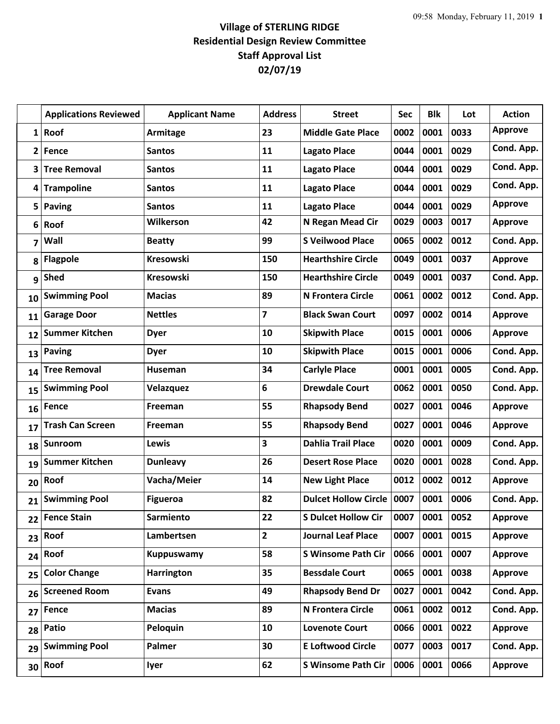## **Village of STERLING RIDGE Residential Design Review Committee Staff Approval List 02/07/19**

|                         | <b>Applications Reviewed</b> | <b>Applicant Name</b> | <b>Address</b>          | <b>Street</b>               | <b>Sec</b> | <b>Blk</b> | Lot  | <b>Action</b>  |
|-------------------------|------------------------------|-----------------------|-------------------------|-----------------------------|------------|------------|------|----------------|
| $\mathbf{1}$            | Roof                         | Armitage              | 23                      | <b>Middle Gate Place</b>    | 0002       | 0001       | 0033 | <b>Approve</b> |
| $\overline{2}$          | Fence                        | <b>Santos</b>         | 11                      | <b>Lagato Place</b>         | 0044       | 0001       | 0029 | Cond. App.     |
| 3                       | <b>Tree Removal</b>          | <b>Santos</b>         | 11                      | <b>Lagato Place</b>         | 0044       | 0001       | 0029 | Cond. App.     |
| 4                       | <b>Trampoline</b>            | <b>Santos</b>         | 11                      | <b>Lagato Place</b>         | 0044       | 0001       | 0029 | Cond. App.     |
| 5                       | <b>Paving</b>                | <b>Santos</b>         | 11                      | <b>Lagato Place</b>         | 0044       | 0001       | 0029 | <b>Approve</b> |
| 6                       | Roof                         | Wilkerson             | 42                      | N Regan Mead Cir            | 0029       | 0003       | 0017 | <b>Approve</b> |
| $\overline{\mathbf{z}}$ | Wall                         | <b>Beatty</b>         | 99                      | <b>S Veilwood Place</b>     | 0065       | 0002       | 0012 | Cond. App.     |
| 8                       | <b>Flagpole</b>              | <b>Kresowski</b>      | 150                     | <b>Hearthshire Circle</b>   | 0049       | 0001       | 0037 | <b>Approve</b> |
| 9                       | <b>Shed</b>                  | <b>Kresowski</b>      | 150                     | <b>Hearthshire Circle</b>   | 0049       | 0001       | 0037 | Cond. App.     |
| 10                      | <b>Swimming Pool</b>         | <b>Macias</b>         | 89                      | <b>N Frontera Circle</b>    | 0061       | 0002       | 0012 | Cond. App.     |
| 11                      | <b>Garage Door</b>           | <b>Nettles</b>        | $\overline{7}$          | <b>Black Swan Court</b>     | 0097       | 0002       | 0014 | <b>Approve</b> |
| 12                      | <b>Summer Kitchen</b>        | <b>Dyer</b>           | 10                      | <b>Skipwith Place</b>       | 0015       | 0001       | 0006 | <b>Approve</b> |
| 13                      | <b>Paving</b>                | <b>Dyer</b>           | 10                      | <b>Skipwith Place</b>       | 0015       | 0001       | 0006 | Cond. App.     |
| 14                      | <b>Tree Removal</b>          | Huseman               | 34                      | <b>Carlyle Place</b>        | 0001       | 0001       | 0005 | Cond. App.     |
| 15                      | <b>Swimming Pool</b>         | Velazquez             | 6                       | <b>Drewdale Court</b>       | 0062       | 0001       | 0050 | Cond. App.     |
| 16                      | Fence                        | Freeman               | 55                      | <b>Rhapsody Bend</b>        | 0027       | 0001       | 0046 | <b>Approve</b> |
| 17                      | <b>Trash Can Screen</b>      | Freeman               | 55                      | <b>Rhapsody Bend</b>        | 0027       | 0001       | 0046 | <b>Approve</b> |
| 18                      | Sunroom                      | Lewis                 | $\overline{\mathbf{3}}$ | <b>Dahlia Trail Place</b>   | 0020       | 0001       | 0009 | Cond. App.     |
| 19                      | <b>Summer Kitchen</b>        | <b>Dunleavy</b>       | 26                      | <b>Desert Rose Place</b>    | 0020       | 0001       | 0028 | Cond. App.     |
| 20                      | Roof                         | Vacha/Meier           | 14                      | <b>New Light Place</b>      | 0012       | 0002       | 0012 | <b>Approve</b> |
| 21                      | <b>Swimming Pool</b>         | <b>Figueroa</b>       | 82                      | <b>Dulcet Hollow Circle</b> | 0007       | 0001       | 0006 | Cond. App.     |
| 22                      | <b>Fence Stain</b>           | Sarmiento             | 22                      | <b>S Dulcet Hollow Cir</b>  | 0007       | 0001       | 0052 | <b>Approve</b> |
| 23                      | Roof                         | Lambertsen            | $\overline{2}$          | <b>Journal Leaf Place</b>   | 0007       | 0001       | 0015 | <b>Approve</b> |
| 24                      | Roof                         | <b>Kuppuswamy</b>     | 58                      | <b>S Winsome Path Cir</b>   | 0066       | 0001       | 0007 | <b>Approve</b> |
| 25                      | <b>Color Change</b>          | <b>Harrington</b>     | 35                      | <b>Bessdale Court</b>       | 0065       | 0001       | 0038 | <b>Approve</b> |
| 26                      | <b>Screened Room</b>         | <b>Evans</b>          | 49                      | <b>Rhapsody Bend Dr</b>     | 0027       | 0001       | 0042 | Cond. App.     |
| 27                      | Fence                        | <b>Macias</b>         | 89                      | N Frontera Circle           | 0061       | 0002       | 0012 | Cond. App.     |
| 28                      | Patio                        | Peloquin              | 10                      | <b>Lovenote Court</b>       | 0066       | 0001       | 0022 | <b>Approve</b> |
| 29                      | <b>Swimming Pool</b>         | Palmer                | 30                      | <b>E Loftwood Circle</b>    | 0077       | 0003       | 0017 | Cond. App.     |
| 30                      | Roof                         | lyer                  | 62                      | <b>S Winsome Path Cir</b>   | 0006       | 0001       | 0066 | <b>Approve</b> |